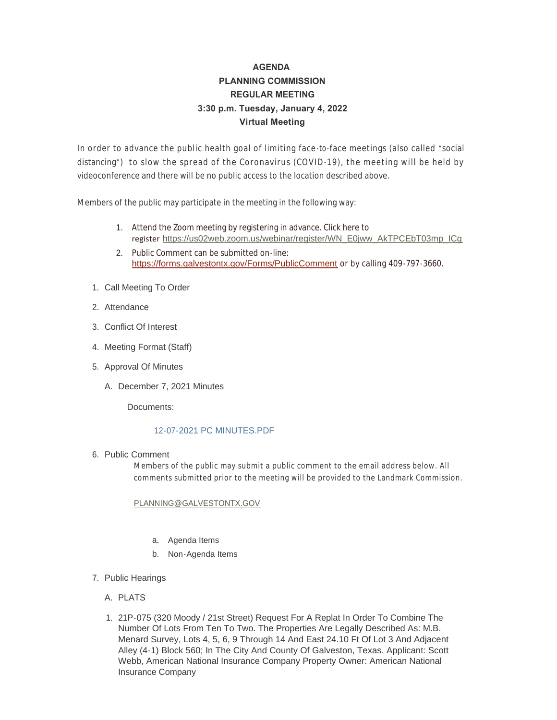# **AGENDA PLANNING COMMISSION REGULAR MEETING 3:30 p.m. Tuesday, January 4, 2022 Virtual Meeting**

In order to advance the public health goal of limiting face -to-face meetings (also called "social distancing") to slow the spread of the Coronavirus (COVID-19), the meeting will be held by videoconference and there will be no public access to the location described above.

Members of the public may participate in the meeting in the following way:

- 1. Attend the Zoom meeting by registering in advance. Click here to register [https://us02web.zoom.us/webinar/register/WN\\_E0jww\\_AkTPCEbT03mp\\_ICg](https://us02web.zoom.us/webinar/register/WN_E0jww_AkTPCEbT03mp_ICg)
- 2. Public Comment can be submitted on-line: <https://forms.galvestontx.gov/Forms/PublicComment> or by calling 409-797-3660.
- 1. Call Meeting To Order
- 2. Attendance
- Conflict Of Interest 3.
- 4. Meeting Format (Staff)
- 5. Approval Of Minutes
	- A. December 7, 2021 Minutes

Documents:

## [12-07-2021 PC MINUTES.PDF](https://www.galvestontx.gov/AgendaCenter/ViewFile/Item/13511?fileID=31793)

## 6. Public Comment

Members of the public may submit a public comment to the email address below. All comments submitted prior to the meeting will be provided to the Landmark Commission.

[PLANNING@GALVESTONTX.GOV](mailto:Planning@Galvestontx.gov)

- a. Agenda Items
- b. Non-Agenda Items
- 7. Public Hearings
	- A. PLATS
	- 1. 21P-075 (320 Moody / 21st Street) Request For A Replat In Order To Combine The Number Of Lots From Ten To Two. The Properties Are Legally Described As: M.B. Menard Survey, Lots 4, 5, 6, 9 Through 14 And East 24.10 Ft Of Lot 3 And Adjacent Alley (4-1) Block 560; In The City And County Of Galveston, Texas. Applicant: Scott Webb, American National Insurance Company Property Owner: American National Insurance Company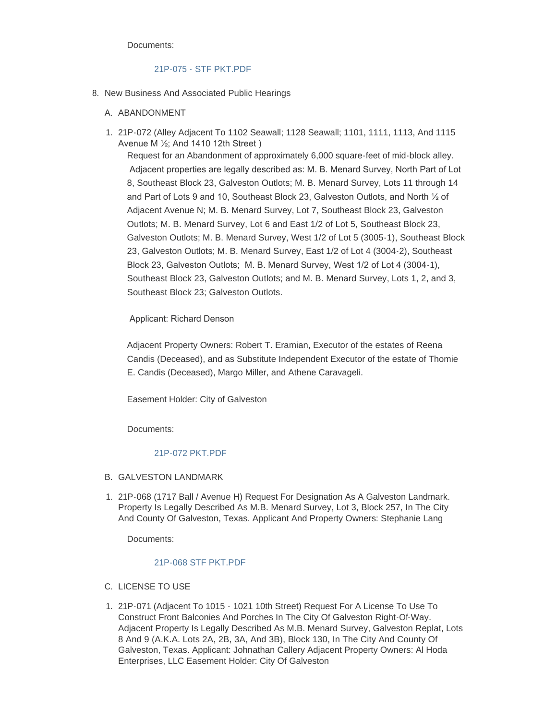Documents:

## [21P-075 - STF PKT.PDF](https://www.galvestontx.gov/AgendaCenter/ViewFile/Item/13512?fileID=31794)

- 8. New Business And Associated Public Hearings
	- A. ABANDONMENT
	- 21P-072 (Alley Adjacent To 1102 Seawall; 1128 Seawall; 1101, 1111, 1113, And 1115 1. Avenue M ½; And 1410 12th Street )

Request for an Abandonment of approximately 6,000 square-feet of mid-block alley. Adjacent properties are legally described as: M. B. Menard Survey, North Part of Lot 8, Southeast Block 23, Galveston Outlots; M. B. Menard Survey, Lots 11 through 14 and Part of Lots 9 and 10, Southeast Block 23, Galveston Outlots, and North ½ of Adjacent Avenue N; M. B. Menard Survey, Lot 7, Southeast Block 23, Galveston Outlots; M. B. Menard Survey, Lot 6 and East 1/2 of Lot 5, Southeast Block 23, Galveston Outlots; M. B. Menard Survey, West 1/2 of Lot 5 (3005-1), Southeast Block 23, Galveston Outlots; M. B. Menard Survey, East 1/2 of Lot 4 (3004-2), Southeast Block 23, Galveston Outlots; M. B. Menard Survey, West 1/2 of Lot 4 (3004-1), Southeast Block 23, Galveston Outlots; and M. B. Menard Survey, Lots 1, 2, and 3, Southeast Block 23; Galveston Outlots.

Applicant: Richard Denson

Adjacent Property Owners: Robert T. Eramian, Executor of the estates of Reena Candis (Deceased), and as Substitute Independent Executor of the estate of Thomie E. Candis (Deceased), Margo Miller, and Athene Caravageli.

Easement Holder: City of Galveston

Documents:

# [21P-072 PKT.PDF](https://www.galvestontx.gov/AgendaCenter/ViewFile/Item/13513?fileID=31795)

- B. GALVESTON LANDMARK
- 21P-068 (1717 Ball / Avenue H) Request For Designation As A Galveston Landmark. 1. Property Is Legally Described As M.B. Menard Survey, Lot 3, Block 257, In The City And County Of Galveston, Texas. Applicant And Property Owners: Stephanie Lang

Documents:

#### [21P-068 STF PKT.PDF](https://www.galvestontx.gov/AgendaCenter/ViewFile/Item/13514?fileID=31807)

- C. LICENSE TO USE
- 21P-071 (Adjacent To 1015 1021 10th Street) Request For A License To Use To 1. Construct Front Balconies And Porches In The City Of Galveston Right-Of-Way. Adjacent Property Is Legally Described As M.B. Menard Survey, Galveston Replat, Lots 8 And 9 (A.K.A. Lots 2A, 2B, 3A, And 3B), Block 130, In The City And County Of Galveston, Texas. Applicant: Johnathan Callery Adjacent Property Owners: Al Hoda Enterprises, LLC Easement Holder: City Of Galveston